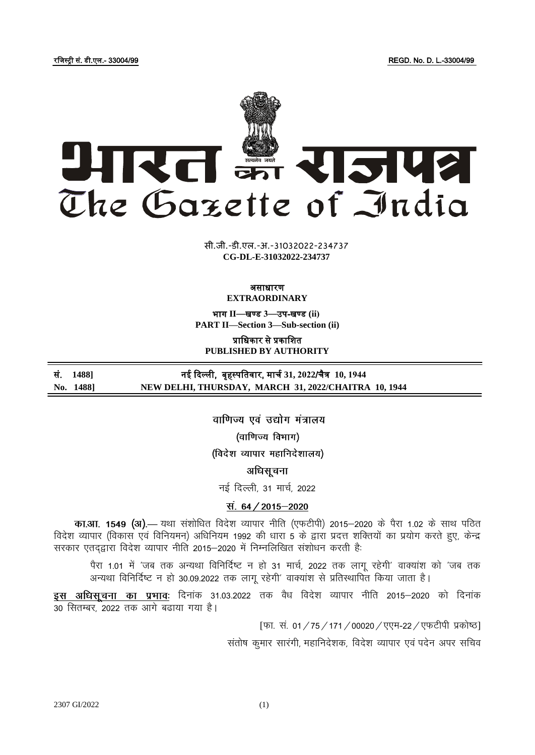रजिस्ट्री सं. डी.एल.- 33004/99 REGD. No. D. L.-33004/99



**xxxGIDHxxx xxx**GIDE**xxx CG-DL-E-31032022-234737** सी.जी.-डी.एल.-अ.-31032022-234737 सी.जी.-डी.एल.-अ.-31032022-234737

### असाधारण **EXTRAORDINARY**

भाग **II**—खण् ड **3**—उप-खण् ड **(ii) PART II—Section 3—Sub-section (ii)**

प्राजधकार से प्रकाजित **PUBLISHED BY AUTHORITY**

सं. 1488] नई दिल्ली, बृहस्पतिवार, मार्च 31, 2022/चैत्र 10, 1944 **No. 1488] NEW DELHI, THURSDAY, MARCH 31, 2022/CHAITRA 10, 1944**

> वाणिज्य एवं उद्योग मंत्रालय (वाणिज्य विभाग) (विदेश व्यापार महानिदेशालय)

> > अधिसूचना

नई दिल्ली, 31 मार्च, 2022

# स. 64 / 2015-2020

**का.आ. 1549 (अ).—** यथा संशोधित विदेश व्यापार नीति (एफटीपी) 2015–2020 के पैरा 1.02 के साथ पठित f वेदेश व्यापार (विकास एवं विनियमन) अधिनियम 1992 की धारा 5 के द्वारा प्रदत्त शक्तियों का प्रयोग करते हुए, केन्द्र सरकार एतदद्वारा विदेश व्यापार नीति 2015-2020 में निम्नलिखित संशोधन करती है:

पैरा 1.01 में 'जब तक अन्यथा विनिर्दिष्ट न हो 31 मार्च, 2022 तक लाग रहेगी' वाक्यांश को 'जब तक अन्यथा विनिर्दिष्ट न हो 30.09.2022 तक लागू रहेगी' वाक्यांश से प्रतिस्थापित किया जाता है।

इस अधिसूचना का प्रभावः दिनांक 31.03.2022 तक वैध विदेश व्यापार नीति 2015–2020 को दिनांक 30 सितम्बर, 2022 तक आगे बढाया गया है।

[फा. सं. 01 / 75 / 171 / 00020 / एएम-22 / एफटीपी प्रकोष्ठ]

संतोष कुमार सारंगी, महानिदेशक, विदेश व्यापार एवं पदेन अपर सचिव